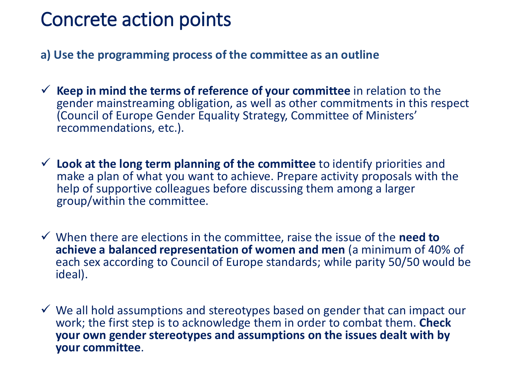- **a) Use the programming process of the committee as an outline**
- ✓ **Keep in mind the terms of reference of your committee** in relation to the gender mainstreaming obligation, as well as other commitments in this respect (Council of Europe Gender Equality Strategy, Committee of Ministers' recommendations, etc.).
- ✓ **Look at the long term planning of the committee** to identify priorities and make a plan of what you want to achieve. Prepare activity proposals with the help of supportive colleagues before discussing them among a larger group/within the committee.
- ✓ When there are elections in the committee, raise the issue of the **need to achieve a balanced representation of women and men** (a minimum of 40% of each sex according to Council of Europe standards; while parity 50/50 would be ideal).
- $\checkmark$  We all hold assumptions and stereotypes based on gender that can impact our work; the first step is to acknowledge them in order to combat them. **Check your own gender stereotypes and assumptions on the issues dealt with by your committee**.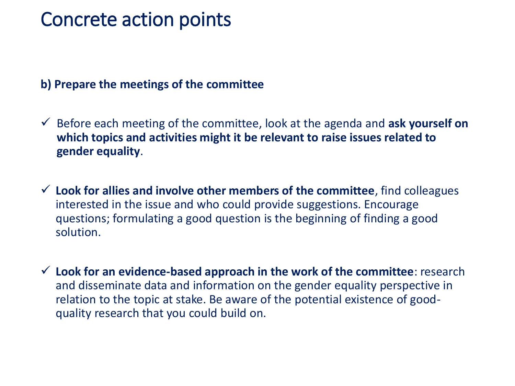#### **b) Prepare the meetings of the committee**

- ✓ Before each meeting of the committee, look at the agenda and **ask yourself on which topics and activities might it be relevant to raise issues related to gender equality**.
- ✓ **Look for allies and involve other members of the committee**, find colleagues interested in the issue and who could provide suggestions. Encourage questions; formulating a good question is the beginning of finding a good solution.
- ✓ **Look for an evidence-based approach in the work of the committee**: research and disseminate data and information on the gender equality perspective in relation to the topic at stake. Be aware of the potential existence of goodquality research that you could build on.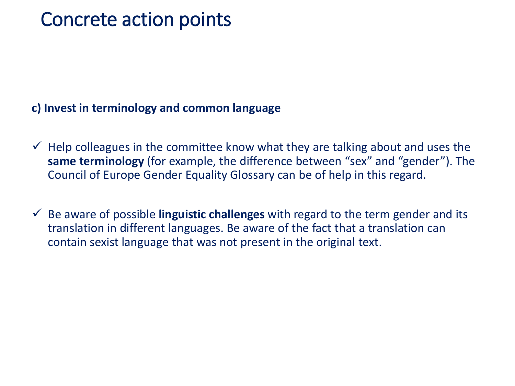### **c) Invest in terminology and common language**

- $\checkmark$  Help colleagues in the committee know what they are talking about and uses the **same terminology** (for example, the difference between "sex" and "gender"). The Council of Europe Gender Equality Glossary can be of help in this regard.
- ✓ Be aware of possible **linguistic challenges** with regard to the term gender and its translation in different languages. Be aware of the fact that a translation can contain sexist language that was not present in the original text.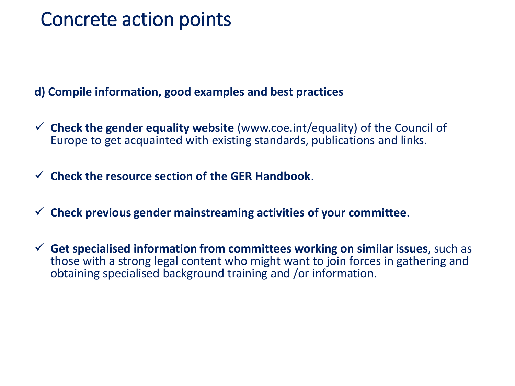**d) Compile information, good examples and best practices** 

- ✓ **Check the gender equality website** (www.coe.int/equality) of the Council of Europe to get acquainted with existing standards, publications and links.
- ✓ **Check the resource section of the GER Handbook**.
- ✓ **Check previous gender mainstreaming activities of your committee**.
- ✓ **Get specialised information from committees working on similar issues**, such as those with a strong legal content who might want to join forces in gathering and obtaining specialised background training and /or information.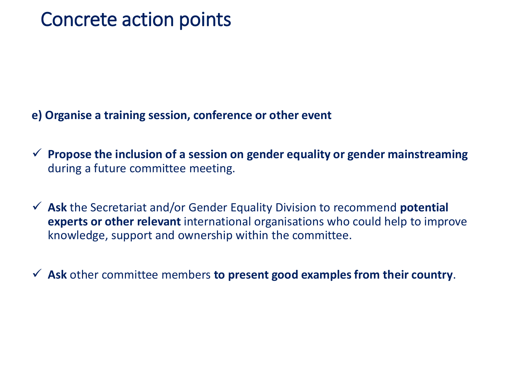- **e) Organise a training session, conference or other event**
- ✓ **Propose the inclusion of a session on gender equality or gender mainstreaming**  during a future committee meeting.
- ✓ **Ask** the Secretariat and/or Gender Equality Division to recommend **potential experts or other relevant** international organisations who could help to improve knowledge, support and ownership within the committee.
- ✓ **Ask** other committee members **to present good examples from their country**.